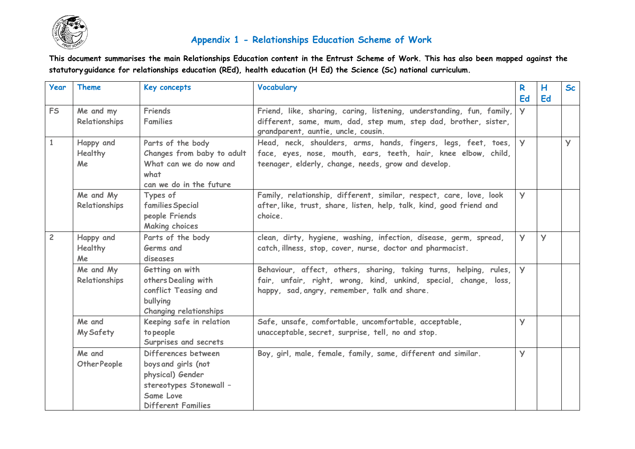

## **Appendix 1 - Relationships Education Scheme of Work**

**This document summarises the main Relationships Education content in the Entrust Scheme of Work. This has also been mapped against the statutory guidance for relationships education (REd), health education (H Ed) the Science (Sc) national curriculum.**

| <b>Year</b>    | <b>Theme</b>                      | Key concepts                                                                                                                        | Vocabulary                                                                                                                                                                              | R            | H        | <b>Sc</b>      |
|----------------|-----------------------------------|-------------------------------------------------------------------------------------------------------------------------------------|-----------------------------------------------------------------------------------------------------------------------------------------------------------------------------------------|--------------|----------|----------------|
|                |                                   |                                                                                                                                     |                                                                                                                                                                                         | Ed           | Ed       |                |
| <b>FS</b>      | Me and my<br>Relationships        | Friends<br><b>Families</b>                                                                                                          | Friend, like, sharing, caring, listening, understanding, fun, family,<br>different, same, mum, dad, step mum, step dad, brother, sister,<br>grandparent, auntie, uncle, cousin.         | $\mathsf{V}$ |          |                |
| $\mathbf{1}$   | Happy and<br>Healthy<br>Me        | Parts of the body<br>Changes from baby to adult<br>What can we do now and<br>what<br>can we do in the future                        | Head, neck, shoulders, arms, hands, fingers, legs, feet, toes,<br>face, eyes, nose, mouth, ears, teeth, hair, knee elbow, child,<br>teenager, elderly, change, needs, grow and develop. | $\mathsf{V}$ |          | $\overline{Y}$ |
|                | Me and My<br>Relationships        | Types of<br>families Special<br>people Friends<br><b>Making choices</b>                                                             | Family, relationship, different, similar, respect, care, love, look<br>after, like, trust, share, listen, help, talk, kind, good friend and<br>choice.                                  | <b>y</b>     |          |                |
| $\overline{c}$ | Happy and<br><b>Healthy</b><br>Me | Parts of the body<br>Germs and<br>diseases                                                                                          | clean, dirty, hygiene, washing, infection, disease, germ, spread,<br>catch, illness, stop, cover, nurse, doctor and pharmacist.                                                         | <b>y</b>     | <b>y</b> |                |
|                | Me and My<br>Relationships        | Getting on with<br>others Dealing with<br>conflict Teasing and<br>bullying<br><b>Changing relationships</b>                         | Behaviour, affect, others, sharing, taking turns, helping, rules,<br>fair, unfair, right, wrong, kind, unkind, special, change, loss,<br>happy, sad, angry, remember, talk and share.   | $\mathsf{V}$ |          |                |
|                | Me and<br>My Safety               | Keeping safe in relation<br>to people<br>Surprises and secrets                                                                      | Safe, unsafe, comfortable, uncomfortable, acceptable,<br>unacceptable, secret, surprise, tell, no and stop.                                                                             | $\mathsf{y}$ |          |                |
|                | Me and<br>Other People            | Differences between<br>boys and girls (not<br>physical) Gender<br>stereotypes Stonewall -<br>Same Love<br><b>Different Families</b> | Boy, girl, male, female, family, same, different and similar.                                                                                                                           | $\mathsf{y}$ |          |                |